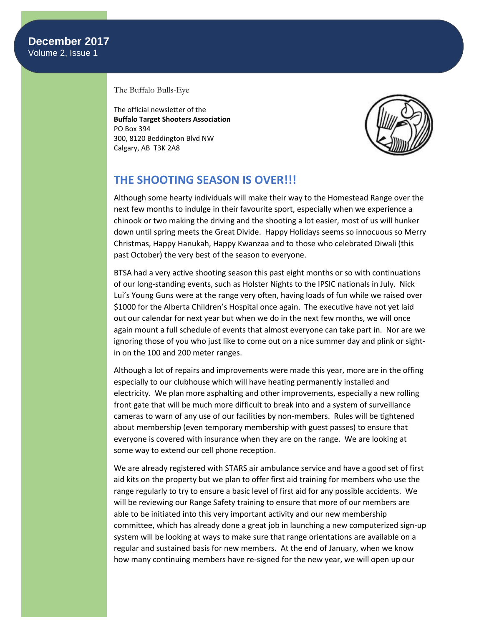The Buffalo Bulls-Eye

The official newsletter of the **Buffalo Target Shooters Association** PO Box 394 300, 8120 Beddington Blvd NW Calgary, AB T3K 2A8



# **THE SHOOTING SEASON IS OVER!!!**

Although some hearty individuals will make their way to the Homestead Range over the next few months to indulge in their favourite sport, especially when we experience a chinook or two making the driving and the shooting a lot easier, most of us will hunker down until spring meets the Great Divide. Happy Holidays seems so innocuous so Merry Christmas, Happy Hanukah, Happy Kwanzaa and to those who celebrated Diwali (this past October) the very best of the season to everyone.

BTSA had a very active shooting season this past eight months or so with continuations of our long-standing events, such as Holster Nights to the IPSIC nationals in July. Nick Lui's Young Guns were at the range very often, having loads of fun while we raised over \$1000 for the Alberta Children's Hospital once again. The executive have not yet laid out our calendar for next year but when we do in the next few months, we will once again mount a full schedule of events that almost everyone can take part in. Nor are we ignoring those of you who just like to come out on a nice summer day and plink or sightin on the 100 and 200 meter ranges.

Although a lot of repairs and improvements were made this year, more are in the offing especially to our clubhouse which will have heating permanently installed and electricity. We plan more asphalting and other improvements, especially a new rolling front gate that will be much more difficult to break into and a system of surveillance cameras to warn of any use of our facilities by non-members. Rules will be tightened about membership (even temporary membership with guest passes) to ensure that everyone is covered with insurance when they are on the range. We are looking at some way to extend our cell phone reception.

We are already registered with STARS air ambulance service and have a good set of first aid kits on the property but we plan to offer first aid training for members who use the range regularly to try to ensure a basic level of first aid for any possible accidents. We will be reviewing our Range Safety training to ensure that more of our members are able to be initiated into this very important activity and our new membership committee, which has already done a great job in launching a new computerized sign-up system will be looking at ways to make sure that range orientations are available on a regular and sustained basis for new members. At the end of January, when we know how many continuing members have re-signed for the new year, we will open up our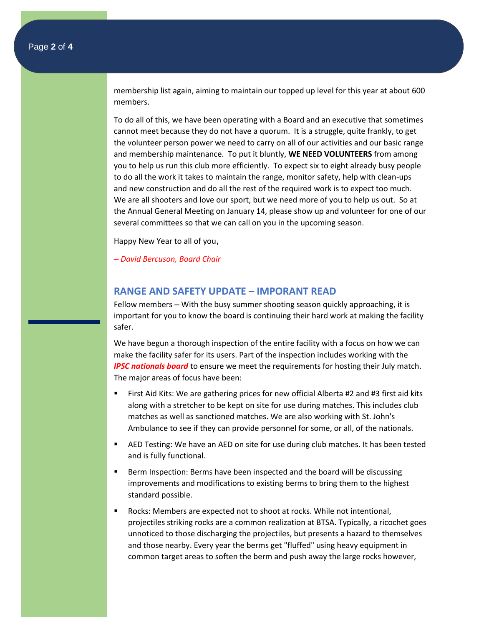membership list again, aiming to maintain our topped up level for this year at about 600 members.

To do all of this, we have been operating with a Board and an executive that sometimes cannot meet because they do not have a quorum. It is a struggle, quite frankly, to get the volunteer person power we need to carry on all of our activities and our basic range and membership maintenance. To put it bluntly, **WE NEED VOLUNTEERS** from among you to help us run this club more efficiently. To expect six to eight already busy people to do all the work it takes to maintain the range, monitor safety, help with clean-ups and new construction and do all the rest of the required work is to expect too much. We are all shooters and love our sport, but we need more of you to help us out. So at the Annual General Meeting on January 14, please show up and volunteer for one of our several committees so that we can call on you in the upcoming season.

Happy New Year to all of you,

*– David Bercuson, Board Chair*

### **RANGE AND SAFETY UPDATE – IMPORANT READ**

Fellow members – With the busy summer shooting season quickly approaching, it is important for you to know the board is continuing their hard work at making the facility safer.

We have begun a thorough inspection of the entire facility with a focus on how we can make the facility safer for its users. Part of the inspection includes working with the *IPSC nationals board* to ensure we meet the requirements for hosting their July match. The major areas of focus have been:

- First Aid Kits: We are gathering prices for new official Alberta #2 and #3 first aid kits along with a stretcher to be kept on site for use during matches. This includes club matches as well as sanctioned matches. We are also working with St. John's Ambulance to see if they can provide personnel for some, or all, of the nationals.
- AED Testing: We have an AED on site for use during club matches. It has been tested and is fully functional.
- Berm Inspection: Berms have been inspected and the board will be discussing improvements and modifications to existing berms to bring them to the highest standard possible.
- Rocks: Members are expected not to shoot at rocks. While not intentional, projectiles striking rocks are a common realization at BTSA. Typically, a ricochet goes unnoticed to those discharging the projectiles, but presents a hazard to themselves and those nearby. Every year the berms get "fluffed" using heavy equipment in common target areas to soften the berm and push away the large rocks however,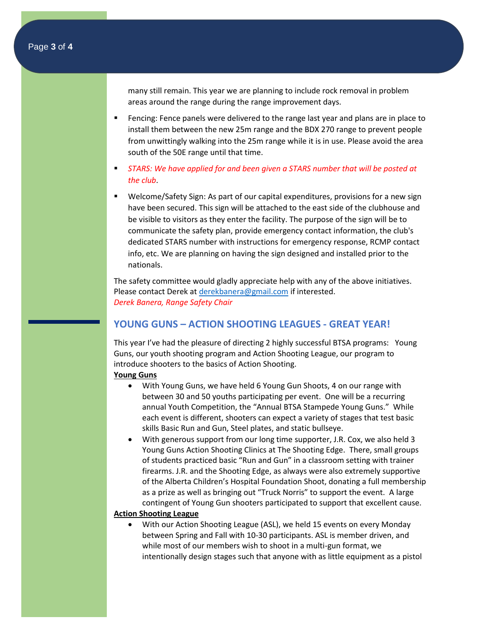many still remain. This year we are planning to include rock removal in problem areas around the range during the range improvement days.

- **•** Fencing: Fence panels were delivered to the range last year and plans are in place to install them between the new 25m range and the BDX 270 range to prevent people from unwittingly walking into the 25m range while it is in use. Please avoid the area south of the 50E range until that time.
- **EXECT:** STARS: We have applied for and been given a STARS number that will be posted at *the club*.
- Welcome/Safety Sign: As part of our capital expenditures, provisions for a new sign have been secured. This sign will be attached to the east side of the clubhouse and be visible to visitors as they enter the facility. The purpose of the sign will be to communicate the safety plan, provide emergency contact information, the club's dedicated STARS number with instructions for emergency response, RCMP contact info, etc. We are planning on having the sign designed and installed prior to the nationals.

The safety committee would gladly appreciate help with any of the above initiatives. Please contact Derek a[t derekbanera@gmail.com](mailto:derekbanera@gmail.com) if interested. *Derek Banera, Range Safety Chair*

## **YOUNG GUNS – ACTION SHOOTING LEAGUES - GREAT YEAR!**

This year I've had the pleasure of directing 2 highly successful BTSA programs: Young Guns, our youth shooting program and Action Shooting League, our program to introduce shooters to the basics of Action Shooting.

#### **Young Guns**

- With Young Guns, we have held 6 Young Gun Shoots, 4 on our range with between 30 and 50 youths participating per event. One will be a recurring annual Youth Competition, the "Annual BTSA Stampede Young Guns." While each event is different, shooters can expect a variety of stages that test basic skills Basic Run and Gun, Steel plates, and static bullseye.
- With generous support from our long time supporter, J.R. Cox, we also held 3 Young Guns Action Shooting Clinics at The Shooting Edge. There, small groups of students practiced basic "Run and Gun" in a classroom setting with trainer firearms. J.R. and the Shooting Edge, as always were also extremely supportive of the Alberta Children's Hospital Foundation Shoot, donating a full membership as a prize as well as bringing out "Truck Norris" to support the event. A large contingent of Young Gun shooters participated to support that excellent cause.

#### **Action Shooting League**

• With our Action Shooting League (ASL), we held 15 events on every Monday between Spring and Fall with 10-30 participants. ASL is member driven, and while most of our members wish to shoot in a multi-gun format, we intentionally design stages such that anyone with as little equipment as a pistol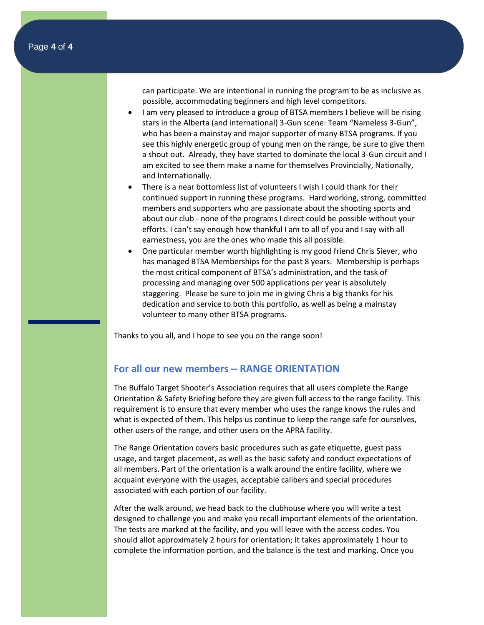can participate. We are intentional in running the program to be as inclusive as possible, accommodating beginners and high level competitors.

- I am very pleased to introduce a group of BTSA members I believe will be rising stars in the Alberta (and international) 3-Gun scene: Team "Nameless 3-Gun", who has been a mainstay and major supporter of many BTSA programs. If you see this highly energetic group of young men on the range, be sure to give them a shout out. Already, they have started to dominate the local 3-Gun circuit and I am excited to see them make a name for themselves Provincially, Nationally, and Internationally.
- There is a near bottomless list of volunteers I wish I could thank for their continued support in running these programs. Hard working, strong, committed members and supporters who are passionate about the shooting sports and about our club - none of the programs I direct could be possible without your efforts. I can't say enough how thankful I am to all of you and I say with all earnestness, you are the ones who made this all possible.
- One particular member worth highlighting is my good friend Chris Siever, who has managed BTSA Memberships for the past 8 years. Membership is perhaps the most critical component of BTSA's administration, and the task of processing and managing over 500 applications per year is absolutely staggering. Please be sure to join me in giving Chris a big thanks for his dedication and service to both this portfolio, as well as being a mainstay volunteer to many other BTSA programs.

Thanks to you all, and I hope to see you on the range soon!

## **For all our new members – RANGE ORIENTATION**

The Buffalo Target Shooter's Association requires that all users complete the Range Orientation & Safety Briefing before they are given full access to the range facility. This requirement is to ensure that every member who uses the range knows the rules and what is expected of them. This helps us continue to keep the range safe for ourselves, other users of the range, and other users on the APRA facility.

The Range Orientation covers basic procedures such as gate etiquette, guest pass usage, and target placement, as well as the basic safety and conduct expectations of all members. Part of the orientation is a walk around the entire facility, where we acquaint everyone with the usages, acceptable calibers and special procedures associated with each portion of our facility.

After the walk around, we head back to the clubhouse where you will write a test designed to challenge you and make you recall important elements of the orientation. The tests are marked at the facility, and you will leave with the access codes. You should allot approximately 2 hours for orientation; It takes approximately 1 hour to complete the information portion, and the balance is the test and marking. Once you